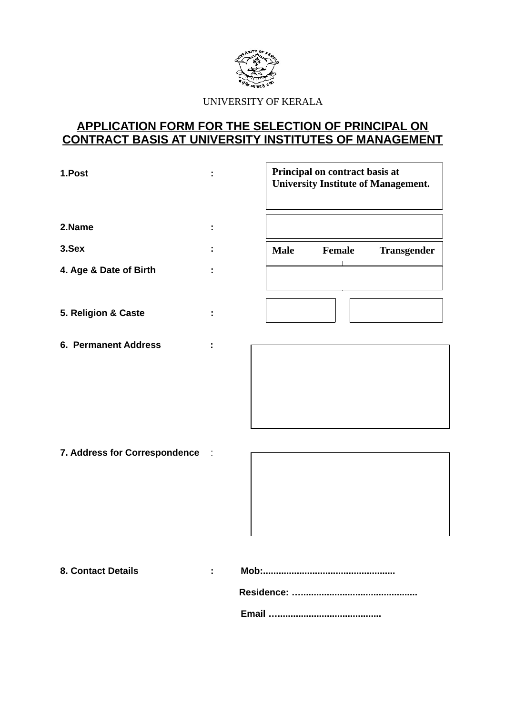

UNIVERSITY OF KERALA

# APPLICATION FORM FOR THE SELECTION OF PRINCIPAL ON **CONTRACT BASIS AT UNIVERSITY INSTITUTES OF MANAGEMENT**

| 1.Post                        | ÷      | Principal on contract basis at<br><b>University Institute of Management.</b> |        |                    |
|-------------------------------|--------|------------------------------------------------------------------------------|--------|--------------------|
| 2.Name                        |        |                                                                              |        |                    |
| 3.Sex                         |        | <b>Male</b>                                                                  | Female | <b>Transgender</b> |
| 4. Age & Date of Birth        | ÷      |                                                                              |        |                    |
| 5. Religion & Caste           |        |                                                                              |        |                    |
| <b>6. Permanent Address</b>   |        |                                                                              |        |                    |
| 7. Address for Correspondence | $\sim$ |                                                                              |        |                    |
| <b>8. Contact Details</b>     | ÷      |                                                                              |        |                    |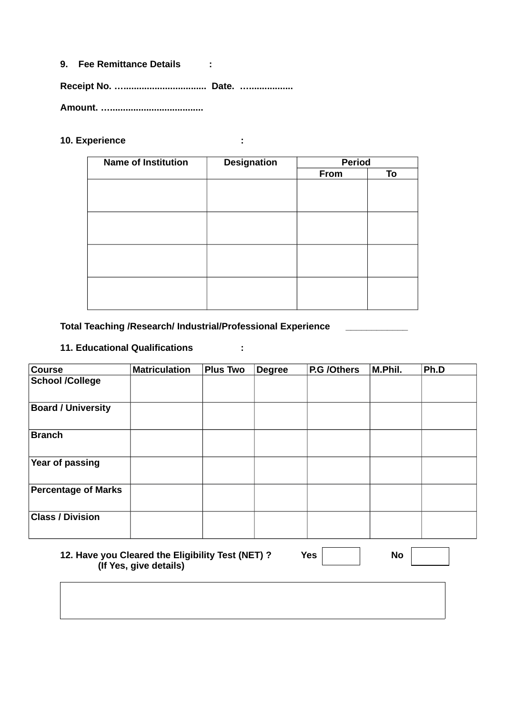### **9. Fee Remittance Details :**

**Receipt No. …................................ Date. ….................** 

**Amount. …....................................** 

### **10. Experience :**

| <b>Name of Institution</b> | <b>Designation</b> | <b>Period</b> |    |  |
|----------------------------|--------------------|---------------|----|--|
|                            |                    | From          | To |  |
|                            |                    |               |    |  |
|                            |                    |               |    |  |
|                            |                    |               |    |  |
|                            |                    |               |    |  |
|                            |                    |               |    |  |
|                            |                    |               |    |  |
|                            |                    |               |    |  |
|                            |                    |               |    |  |
|                            |                    |               |    |  |
|                            |                    |               |    |  |
|                            |                    |               |    |  |
|                            |                    |               |    |  |

### **Total Teaching /Research/ Industrial/Professional Experience \_\_\_\_\_\_\_\_\_\_\_\_**

## **11. Educational Qualifications :**

| <b>Course</b>              | <b>Matriculation</b> | <b>Plus Two</b> | <b>Degree</b> | P.G /Others | M.Phil. | Ph.D |
|----------------------------|----------------------|-----------------|---------------|-------------|---------|------|
| <b>School /College</b>     |                      |                 |               |             |         |      |
| <b>Board / University</b>  |                      |                 |               |             |         |      |
| <b>Branch</b>              |                      |                 |               |             |         |      |
| Year of passing            |                      |                 |               |             |         |      |
| <b>Percentage of Marks</b> |                      |                 |               |             |         |      |
| <b>Class / Division</b>    |                      |                 |               |             |         |      |

### **12. Have you Cleared the Eligibility Test (NET) ?** Yes **Yes** No  **(If Yes, give details)**

| ۰. |  |
|----|--|
|    |  |